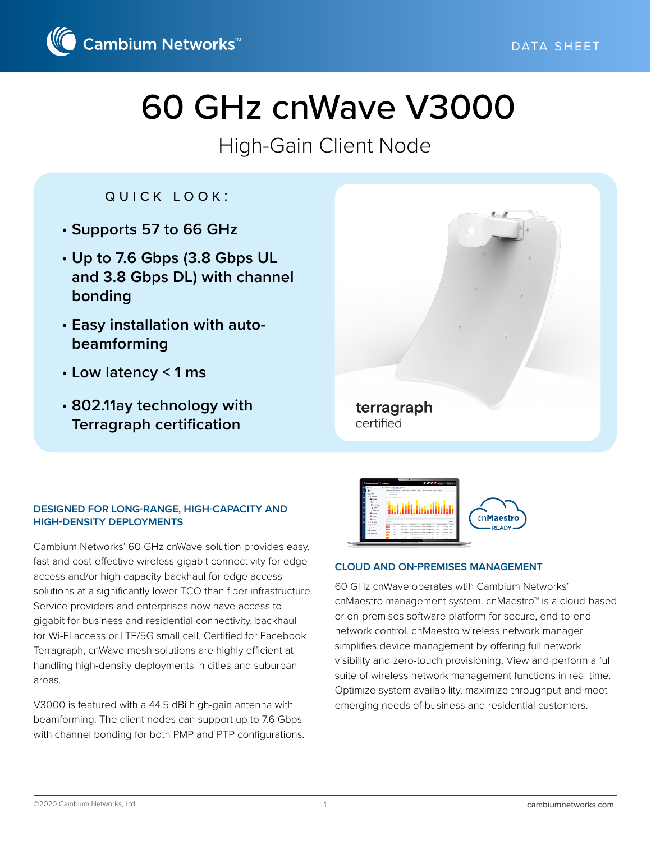

# 60 GHz cnWave V3000

# High-Gain Client Node

## quick look:

- **Supports 57 to 66 GHz**
- **Up to 7.6 Gbps (3.8 Gbps UL and 3.8 Gbps DL) with channel bonding**
- **Easy installation with autobeamforming**
- **Low latency < 1 ms**
- **802.11ay technology with Terragraph certification**



#### **DESIGNED FOR LONG-RANGE, HIGH-CAPACITY AND HIGH-DENSITY DEPLOYMENTS**

Cambium Networks' 60 GHz cnWave solution provides easy, fast and cost-effective wireless gigabit connectivity for edge access and/or high-capacity backhaul for edge access solutions at a significantly lower TCO than fiber infrastructure. Service providers and enterprises now have access to gigabit for business and residential connectivity, backhaul for Wi-Fi access or LTE/5G small cell. Certified for Facebook Terragraph, cnWave mesh solutions are highly efficient at handling high-density deployments in cities and suburban areas.

V3000 is featured with a 44.5 dBi high-gain antenna with beamforming. The client nodes can support up to 7.6 Gbps with channel bonding for both PMP and PTP configurations.



#### **CLOUD AND ON-PREMISES MANAGEMENT**

60 GHz cnWave operates wtih Cambium Networks' cnMaestro management system. cnMaestro™ is a cloud-based or on-premises software platform for secure, end-to-end network control. cnMaestro wireless network manager simplifies device management by offering full network visibility and zero-touch provisioning. View and perform a full suite of wireless network management functions in real time. Optimize system availability, maximize throughput and meet emerging needs of business and residential customers.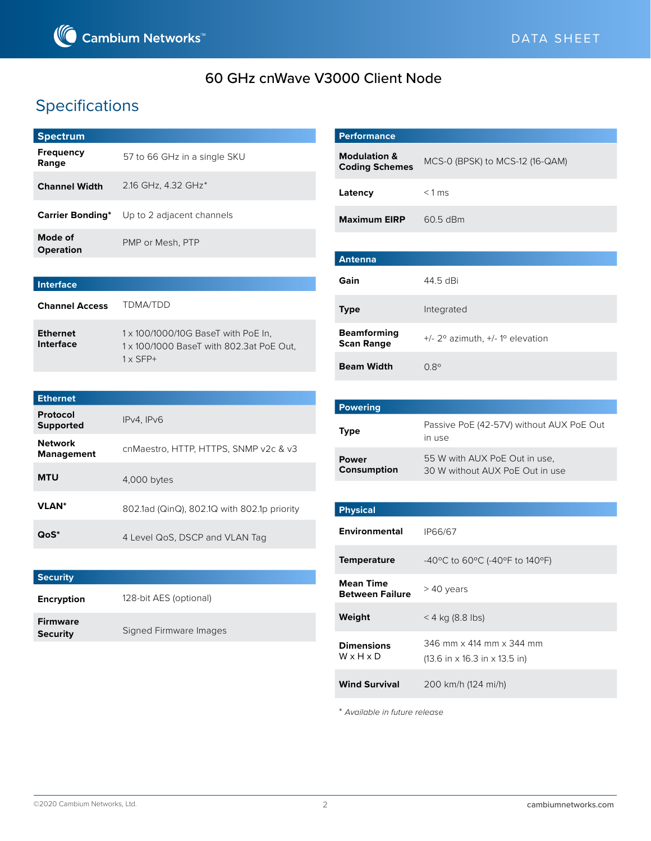

## 60 GHz cnWave V3000 Client Node

## Specifications

| <b>Spectrum</b>             |                                                    |
|-----------------------------|----------------------------------------------------|
| <b>Frequency</b><br>Range   | 57 to 66 GHz in a single SKU                       |
| <b>Channel Width</b>        | 2.16 GHz, 4.32 GHz <sup>*</sup>                    |
|                             | <b>Carrier Bonding</b> * Up to 2 adjacent channels |
| Mode of<br><b>Operation</b> | PMP or Mesh, PTP                                   |
|                             |                                                    |

| Interface                    |                                                                                                    |
|------------------------------|----------------------------------------------------------------------------------------------------|
| <b>Channel Access</b>        | TDMA/TDD                                                                                           |
| <b>Ethernet</b><br>Interface | 1 x 100/1000/10G BaseT with PoE In,<br>1 x 100/1000 BaseT with 802.3at PoE Out,<br>$1 \times$ SFP+ |

| <b>Ethernet</b>                     |                                             |
|-------------------------------------|---------------------------------------------|
| Protocol<br><b>Supported</b>        | IPv4. IPv6                                  |
| <b>Network</b><br><b>Management</b> | cnMaestro, HTTP, HTTPS, SNMP v2c & v3       |
| <b>MTU</b>                          | $4,000$ bytes                               |
| <b>VLAN</b> *                       | 802.1ad (QinQ), 802.1Q with 802.1p priority |
| QoS*                                | 4 Level QoS, DSCP and VLAN Tag              |

| <b>Security</b>                    |                        |
|------------------------------------|------------------------|
| <b>Encryption</b>                  | 128-bit AES (optional) |
| <b>Firmware</b><br><b>Security</b> | Signed Firmware Images |

| <b>Performance</b>                               |                                                    |
|--------------------------------------------------|----------------------------------------------------|
| <b>Modulation &amp;</b><br><b>Coding Schemes</b> | MCS-0 (BPSK) to MCS-12 (16-QAM)                    |
| Latency                                          | $< 1$ ms                                           |
| <b>Maximum EIRP</b>                              | 60.5 dBm                                           |
|                                                  |                                                    |
| <b>Antenna</b>                                   |                                                    |
| Gain                                             | 44.5 dBi                                           |
| <b>Type</b>                                      | Integrated                                         |
| <b>Beamforming</b><br><b>Scan Range</b>          | $+/- 2^{\circ}$ azimuth, $+/- 1^{\circ}$ elevation |
| <b>Beam Width</b>                                | $0.8^{\circ}$                                      |

| <b>Powering</b>             |                                                                  |
|-----------------------------|------------------------------------------------------------------|
| <b>Type</b>                 | Passive PoE (42-57V) without AUX PoE Out<br>in use               |
| <b>Power</b><br>Consumption | 55 W with AUX PoE Out in use.<br>30 W without AUX PoE Out in use |

| <b>Physical</b>                            |                                                                                                 |
|--------------------------------------------|-------------------------------------------------------------------------------------------------|
| <b>Environmental</b>                       | IP66/67                                                                                         |
| <b>Temperature</b>                         | -40°C to 60°C (-40°F to 140°F)                                                                  |
| <b>Mean Time</b><br><b>Between Failure</b> | > 40 years                                                                                      |
| Weight                                     | $<$ 4 kg (8.8 lbs)                                                                              |
| <b>Dimensions</b><br>WxHxD                 | 346 mm x 414 mm x 344 mm<br>$(13.6 \text{ in } \times 16.3 \text{ in } \times 13.5 \text{ in})$ |
| <b>Wind Survival</b>                       | 200 km/h (124 mi/h)                                                                             |

\* *Available in future release*